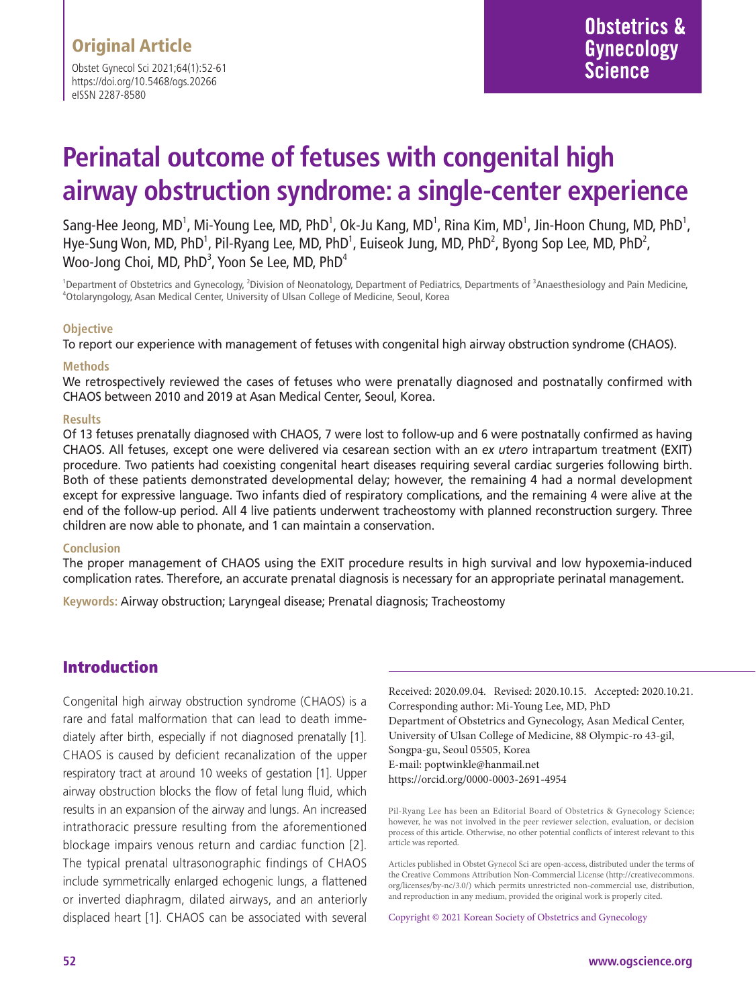Obstet Gynecol Sci 2021;64(1):52-61 https://doi.org/10.5468/ogs.20266 eISSN 2287-8580

# **Perinatal outcome of fetuses with congenital high airway obstruction syndrome: a single-center experience**

Sang-Hee Jeong, MD<sup>1</sup>, Mi-Young Lee, MD, PhD<sup>1</sup>, Ok-Ju Kang, MD<sup>1</sup>, Rina Kim, MD<sup>1</sup>, Jin-Hoon Chung, MD, PhD<sup>1</sup>, Hye-Sung Won, MD, PhD<sup>1</sup>, Pil-Ryang Lee, MD, PhD<sup>1</sup>, Euiseok Jung, MD, PhD<sup>2</sup>, Byong Sop Lee, MD, PhD<sup>2</sup>, Woo-Jong Choi, MD, PhD $^3$ , Yoon Se Lee, MD, PhD $^4$ 

<sup>1</sup>Department of Obstetrics and Gynecology, <sup>2</sup>Division of Neonatology, Department of Pediatrics, Departments of <sup>3</sup>Anaesthesiology and Pain Medicine,<br><sup>4</sup>Otolaryngology, Asan Medical Center University of Ulsan Colloge of M Otolaryngology, Asan Medical Center, University of Ulsan College of Medicine, Seoul, Korea

### **Objective**

To report our experience with management of fetuses with congenital high airway obstruction syndrome (CHAOS).

### **Methods**

We retrospectively reviewed the cases of fetuses who were prenatally diagnosed and postnatally confirmed with CHAOS between 2010 and 2019 at Asan Medical Center, Seoul, Korea.

### **Results**

Of 13 fetuses prenatally diagnosed with CHAOS, 7 were lost to follow-up and 6 were postnatally confirmed as having CHAOS. All fetuses, except one were delivered via cesarean section with an *ex utero* intrapartum treatment (EXIT) procedure. Two patients had coexisting congenital heart diseases requiring several cardiac surgeries following birth. Both of these patients demonstrated developmental delay; however, the remaining 4 had a normal development except for expressive language. Two infants died of respiratory complications, and the remaining 4 were alive at the end of the follow-up period. All 4 live patients underwent tracheostomy with planned reconstruction surgery. Three children are now able to phonate, and 1 can maintain a conservation.

#### **Conclusion**

The proper management of CHAOS using the EXIT procedure results in high survival and low hypoxemia-induced complication rates. Therefore, an accurate prenatal diagnosis is necessary for an appropriate perinatal management.

**Keywords:** Airway obstruction; Laryngeal disease; Prenatal diagnosis; Tracheostomy

## Introduction

Congenital high airway obstruction syndrome (CHAOS) is a rare and fatal malformation that can lead to death immediately after birth, especially if not diagnosed prenatally [1]. CHAOS is caused by deficient recanalization of the upper respiratory tract at around 10 weeks of gestation [1]. Upper airway obstruction blocks the flow of fetal lung fluid, which results in an expansion of the airway and lungs. An increased intrathoracic pressure resulting from the aforementioned blockage impairs venous return and cardiac function [2]. The typical prenatal ultrasonographic findings of CHAOS include symmetrically enlarged echogenic lungs, a flattened or inverted diaphragm, dilated airways, and an anteriorly displaced heart [1]. CHAOS can be associated with several Received: 2020.09.04. Revised: 2020.10.15. Accepted: 2020.10.21. Corresponding author: Mi-Young Lee, MD, PhD Department of Obstetrics and Gynecology, Asan Medical Center, University of Ulsan College of Medicine, 88 Olympic-ro 43-gil, Songpa-gu, Seoul 05505, Korea E-mail: poptwinkle@hanmail.net https://orcid.org/0000-0003-2691-4954

Pil-Ryang Lee has been an Editorial Board of Obstetrics & Gynecology Science; however, he was not involved in the peer reviewer selection, evaluation, or decision process of this article. Otherwise, no other potential conflicts of interest relevant to this article was reported.

Copyright © 2021 Korean Society of Obstetrics and Gynecology

Articles published in Obstet Gynecol Sci are open-access, distributed under the terms of the Creative Commons Attribution Non-Commercial License (http://creativecommons. org/licenses/by-nc/3.0/) which permits unrestricted non-commercial use, distribution, and reproduction in any medium, provided the original work is properly cited.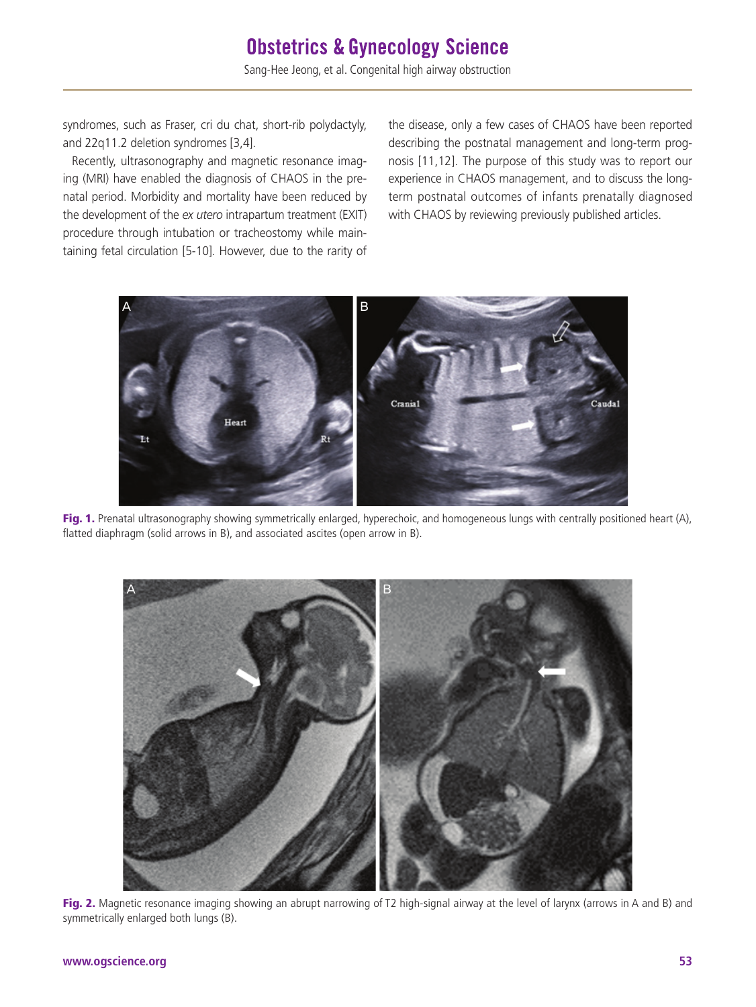syndromes, such as Fraser, cri du chat, short-rib polydactyly, and 22q11.2 deletion syndromes [3,4].

Recently, ultrasonography and magnetic resonance imaging (MRI) have enabled the diagnosis of CHAOS in the prenatal period. Morbidity and mortality have been reduced by the development of the *ex utero* intrapartum treatment (EXIT) procedure through intubation or tracheostomy while maintaining fetal circulation [5-10]. However, due to the rarity of

the disease, only a few cases of CHAOS have been reported describing the postnatal management and long-term prognosis [11,12]. The purpose of this study was to report our experience in CHAOS management, and to discuss the longterm postnatal outcomes of infants prenatally diagnosed with CHAOS by reviewing previously published articles.



Fig. 1. Prenatal ultrasonography showing symmetrically enlarged, hyperechoic, and homogeneous lungs with centrally positioned heart (A), flatted diaphragm (solid arrows in B), and associated ascites (open arrow in B).



Fig. 2. Magnetic resonance imaging showing an abrupt narrowing of T2 high-signal airway at the level of larynx (arrows in A and B) and symmetrically enlarged both lungs (B).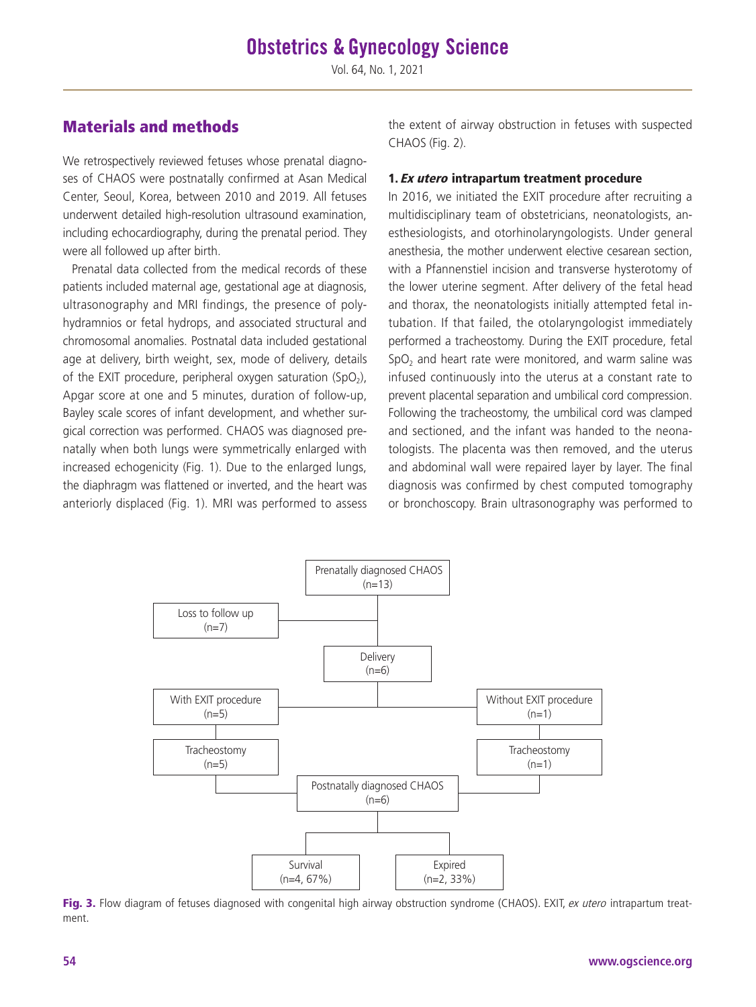## Materials and methods

We retrospectively reviewed fetuses whose prenatal diagnoses of CHAOS were postnatally confirmed at Asan Medical Center, Seoul, Korea, between 2010 and 2019. All fetuses underwent detailed high-resolution ultrasound examination, including echocardiography, during the prenatal period. They were all followed up after birth.

Prenatal data collected from the medical records of these patients included maternal age, gestational age at diagnosis, ultrasonography and MRI findings, the presence of polyhydramnios or fetal hydrops, and associated structural and chromosomal anomalies. Postnatal data included gestational age at delivery, birth weight, sex, mode of delivery, details of the EXIT procedure, peripheral oxygen saturation  $(SpO<sub>2</sub>)$ , Apgar score at one and 5 minutes, duration of follow-up, Bayley scale scores of infant development, and whether surgical correction was performed. CHAOS was diagnosed prenatally when both lungs were symmetrically enlarged with increased echogenicity (Fig. 1). Due to the enlarged lungs, the diaphragm was flattened or inverted, and the heart was anteriorly displaced (Fig. 1). MRI was performed to assess

the extent of airway obstruction in fetuses with suspected CHAOS (Fig. 2).

### 1. Ex utero intrapartum treatment procedure

In 2016, we initiated the EXIT procedure after recruiting a multidisciplinary team of obstetricians, neonatologists, anesthesiologists, and otorhinolaryngologists. Under general anesthesia, the mother underwent elective cesarean section, with a Pfannenstiel incision and transverse hysterotomy of the lower uterine segment. After delivery of the fetal head and thorax, the neonatologists initially attempted fetal intubation. If that failed, the otolaryngologist immediately performed a tracheostomy. During the EXIT procedure, fetal SpO<sub>2</sub> and heart rate were monitored, and warm saline was infused continuously into the uterus at a constant rate to prevent placental separation and umbilical cord compression. Following the tracheostomy, the umbilical cord was clamped and sectioned, and the infant was handed to the neonatologists. The placenta was then removed, and the uterus and abdominal wall were repaired layer by layer. The final diagnosis was confirmed by chest computed tomography or bronchoscopy. Brain ultrasonography was performed to



Fig. 3. Flow diagram of fetuses diagnosed with congenital high airway obstruction syndrome (CHAOS). EXIT, ex utero intrapartum treatment.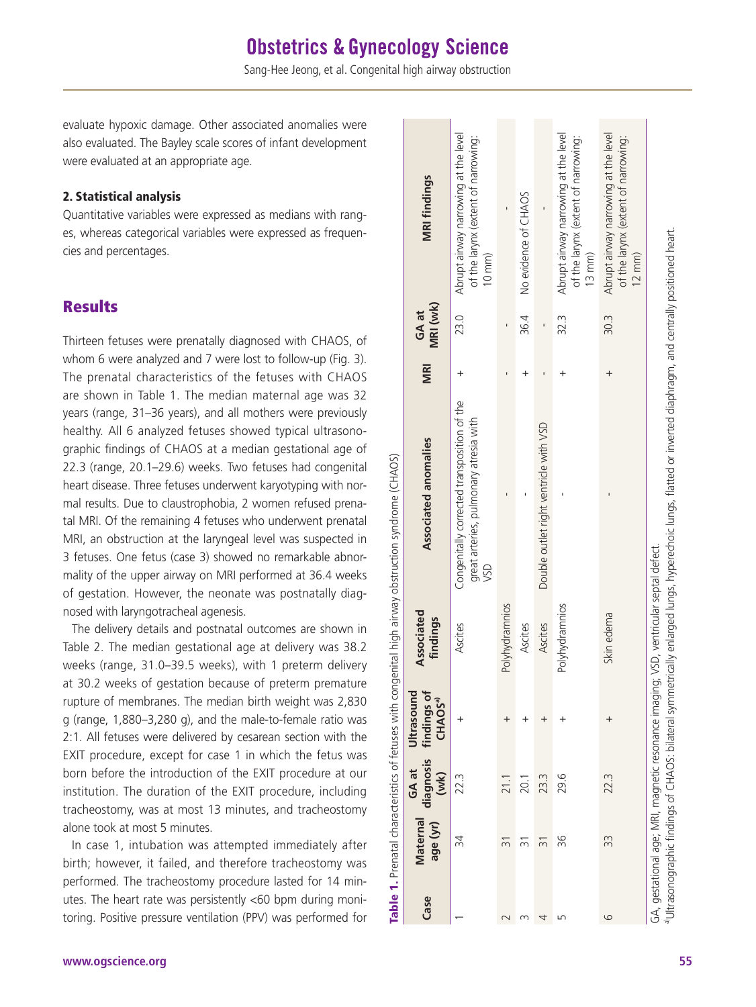Sang-Hee Jeong, et al. Congenital high airway obstruction

evaluate hypoxic damage. Other associated anomalies were also evaluated. The Bayley scale scores of infant development were evaluated at an appropriate age.

### 2. Statistical analysis

Quantitative variables were expressed as medians with ranges, whereas categorical variables were expressed as frequencies and percentages.

## **Results**

Thirteen fetuses were prenatally diagnosed with CHAOS, of whom 6 were analyzed and 7 were lost to follow-up (Fig. 3). The prenatal characteristics of the fetuses with CHAOS are shown in Table 1. The median maternal age was 32 years (range, 31–36 years), and all mothers were previously healthy. All 6 analyzed fetuses showed typical ultrasonographic findings of CHAOS at a median gestational age of 22.3 (range, 20.1–29.6) weeks. Two fetuses had congenital heart disease. Three fetuses underwent karyotyping with normal results. Due to claustrophobia, 2 women refused prenatal MRI. Of the remaining 4 fetuses who underwent prenatal MRI, an obstruction at the laryngeal level was suspected in 3 fetuses. One fetus (case 3) showed no remarkable abnormality of the upper airway on MRI performed at 36.4 weeks of gestation. However, the neonate was postnatally diagnosed with laryngotracheal agenesis.

The delivery details and postnatal outcomes are shown in Table 2. The median gestational age at delivery was 38.2 weeks (range, 31.0–39.5 weeks), with 1 preterm delivery at 30.2 weeks of gestation because of preterm premature rupture of membranes. The median birth weight was 2,830 g (range, 1,880–3,280 g), and the male-to-female ratio was 2:1. All fetuses were delivered by cesarean section with the EXIT procedure, except for case 1 in which the fetus was born before the introduction of the EXIT procedure at our institution. The duration of the EXIT procedure, including tracheostomy, was at most 13 minutes, and tracheostomy alone took at most 5 minutes.

In case 1, intubation was attempted immediately after birth; however, it failed, and therefore tracheostomy was performed. The tracheostomy procedure lasted for 14 minutes. The heart rate was persistently <60 bpm during monitoring. Positive pressure ventilation (PPV) was performed for

| Case | Maternal<br>age (yr) | diagnosis<br>GA at<br>(wk) | Ultrasound<br>findings of<br><b>CHAOS<sup>a)</sup></b> | <b>Associated</b><br>findings                                                         | Associated anomalies                                                                                                                                            | <b>MRI</b> | MRI (wk)<br>GA at        | <b>MRI findings</b>                                                                            |
|------|----------------------|----------------------------|--------------------------------------------------------|---------------------------------------------------------------------------------------|-----------------------------------------------------------------------------------------------------------------------------------------------------------------|------------|--------------------------|------------------------------------------------------------------------------------------------|
|      | 34                   | 22.3                       | $\,{}^+$                                               | Ascites                                                                               | Congenitally corrected transposition of the<br>great arteries, pulmonary atresia with<br>VSD                                                                    |            | 23.0                     | Abrupt airway narrowing at the level<br>of the larynx (extent of narrowing:<br>$10 \text{ mm}$ |
|      | $\overline{3}$       | $\frac{1}{2}$              |                                                        | Polyhydramnios                                                                        |                                                                                                                                                                 |            |                          |                                                                                                |
|      | 31                   | 20.1                       |                                                        | Ascites                                                                               |                                                                                                                                                                 |            | 36.4                     | No evidence of CHAOS                                                                           |
| 4    | $\overline{5}$       | 23.3                       | $^{+}$                                                 | Ascites                                                                               | Double outlet right ventricle with VSD                                                                                                                          |            | $\overline{\phantom{a}}$ |                                                                                                |
| S    | 96                   | 29.6                       |                                                        | Polyhydramnios                                                                        |                                                                                                                                                                 |            | 32.3                     | Abrupt airway narrowing at the level<br>of the larynx (extent of narrowing:<br>$13$ mm $)$     |
| 6    | 33                   | 22.3                       | $^{+}$                                                 | Skin edema                                                                            |                                                                                                                                                                 | $\ddot{}$  | 30.3                     | Abrupt airway narrowing at the level<br>of the larynx (extent of narrowing:<br>$12$ mm $)$     |
|      |                      |                            |                                                        | GA, gestational age; MRI, magnetic resonance imaging; VSD, ventricular septal defect. | a Ultrasonographic findings of CHAOS: bilateral symmetrically enlarged lungs, hyperechoic lungs, flatted or inverted diaphragm, and centrally positioned heart. |            |                          |                                                                                                |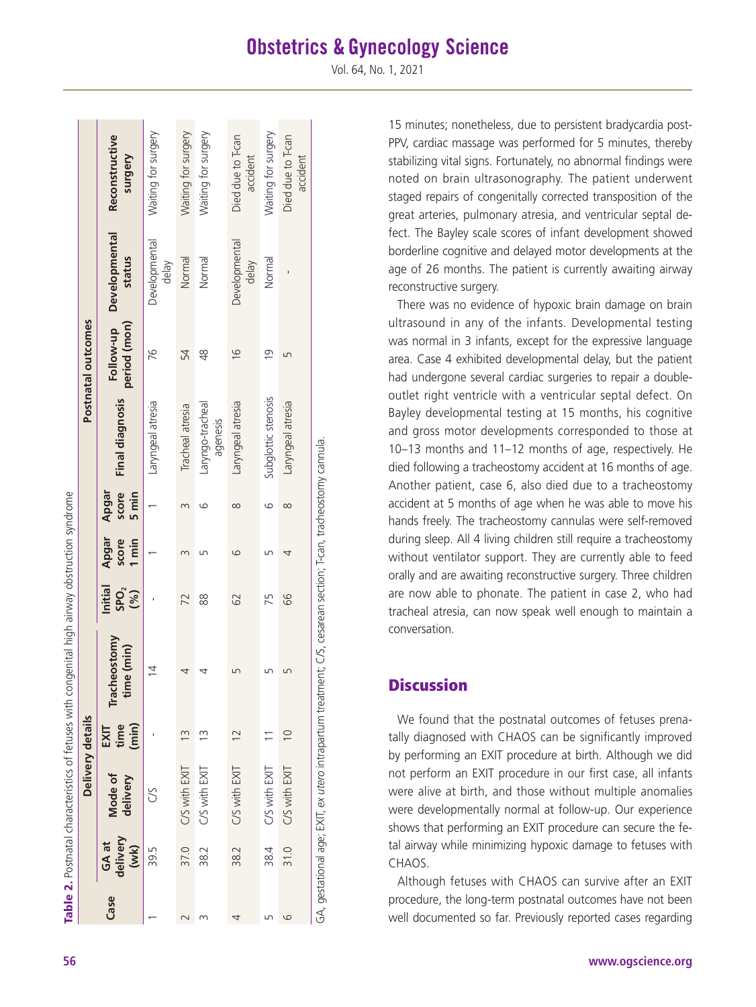# **Obstetrics & Gynecology Science**

Vol. 64, No. 1, 2021

|      |                           | Table 2. Postnatal characteristics of fetuses with of | Delivery details         | congenital high airway obstruction syndrome                                                                           |                             |                         |                         |                              | Postnatal outcomes        |                                |                               |
|------|---------------------------|-------------------------------------------------------|--------------------------|-----------------------------------------------------------------------------------------------------------------------|-----------------------------|-------------------------|-------------------------|------------------------------|---------------------------|--------------------------------|-------------------------------|
| Case | delivery<br>GA at<br>(wk) | Mode of<br>delivery                                   | time<br>(min)<br>EXIT    | Tracheostomy<br>ime (min)                                                                                             | Initial<br>SPO <sub>2</sub> | Apgar<br>I min<br>score | score<br>Apgar<br>5 min | <b>Final diagnosis</b>       | Follow-up<br>period (mon) | <b>Developmental</b><br>status | Reconstructive<br>Surgery     |
|      | 39.5                      | S                                                     |                          | $\overline{4}$                                                                                                        |                             |                         |                         | Laryngeal atresia            | 76                        | Developmental<br>delay         | Waiting for surgery           |
|      | 37.0                      | C/S with EXIT                                         | $\frac{3}{3}$            |                                                                                                                       | 72                          |                         |                         | Tracheal atresia             | 54                        | Normal                         | Waiting for surgery           |
|      | 38.2                      | C/S with EXIT                                         | $\tilde{1}$              |                                                                                                                       | 88                          | ഥ                       | ဖ                       | Laryngo-tracheal<br>agenesis | $\frac{8}{3}$             | Normal                         | Waiting for surgery           |
|      | 38.2                      | C/S with EXIT                                         | $\overline{2}$           |                                                                                                                       | 62                          | ဖ                       | $\infty$                | Laryngeal atresia            | $\frac{6}{1}$             | Developmental<br>delay         | Died due to T-can<br>accident |
| ഥ    | 38.4                      | C/S with EXIT                                         | $\overline{\phantom{0}}$ |                                                                                                                       | 75                          |                         |                         | Subglottic stenosis          | $\overline{0}$            | Normal                         | Waiting for surgery           |
| ဖ    | 31.0                      | C/S with EXIT                                         | $\overline{0}$           |                                                                                                                       | 89                          |                         | $\infty$                | Laryngeal atresia            | ம                         |                                | Died due to T-can<br>accident |
|      |                           |                                                       |                          | GA, gestational age; EXIT, ex <i>utero</i> intrapartum treatment; C/S, cesarean section; T-can, tracheostomy cannula. |                             |                         |                         |                              |                           |                                |                               |

15 minutes; nonetheless, due to persistent bradycardia post-PPV, cardiac massage was performed for 5 minutes, thereby stabilizing vital signs. Fortunately, no abnormal findings were noted on brain ultrasonography. The patient underwent staged repairs of congenitally corrected transposition of the great arteries, pulmonary atresia, and ventricular septal de fect. The Bayley scale scores of infant development showed borderline cognitive and delayed motor developments at the age of 26 months. The patient is currently awaiting airway reconstructive surgery.

There was no evidence of hypoxic brain damage on brain ultrasound in any of the infants. Developmental testing was normal in 3 infants, except for the expressive language area. Case 4 exhibited developmental delay, but the patient had undergone several cardiac surgeries to repair a doubleoutlet right ventricle with a ventricular septal defect. On Bayley developmental testing at 15 months, his cognitive and gross motor developments corresponded to those at 10–13 months and 11–12 months of age, respectively. He died following a tracheostomy accident at 16 months of age. Another patient, case 6, also died due to a tracheostomy accident at 5 months of age when he was able to move his hands freely. The tracheostomy cannulas were self-removed during sleep. All 4 living children still require a tracheostomy without ventilator support. They are currently able to feed orally and are awaiting reconstructive surgery. Three children are now able to phonate. The patient in case 2, who had tracheal atresia, can now speak well enough to maintain a conversation.

## **Discussion**

We found that the postnatal outcomes of fetuses prena tally diagnosed with CHAOS can be significantly improved by performing an EXIT procedure at birth. Although we did not perform an EXIT procedure in our first case, all infants were alive at birth, and those without multiple anomalies were developmentally normal at follow-up. Our experience shows that performing an EXIT procedure can secure the fe tal airway while minimizing hypoxic damage to fetuses with CHAOS.

Although fetuses with CHAOS can survive after an EXIT procedure, the long-term postnatal outcomes have not been well documented so far. Previously reported cases regarding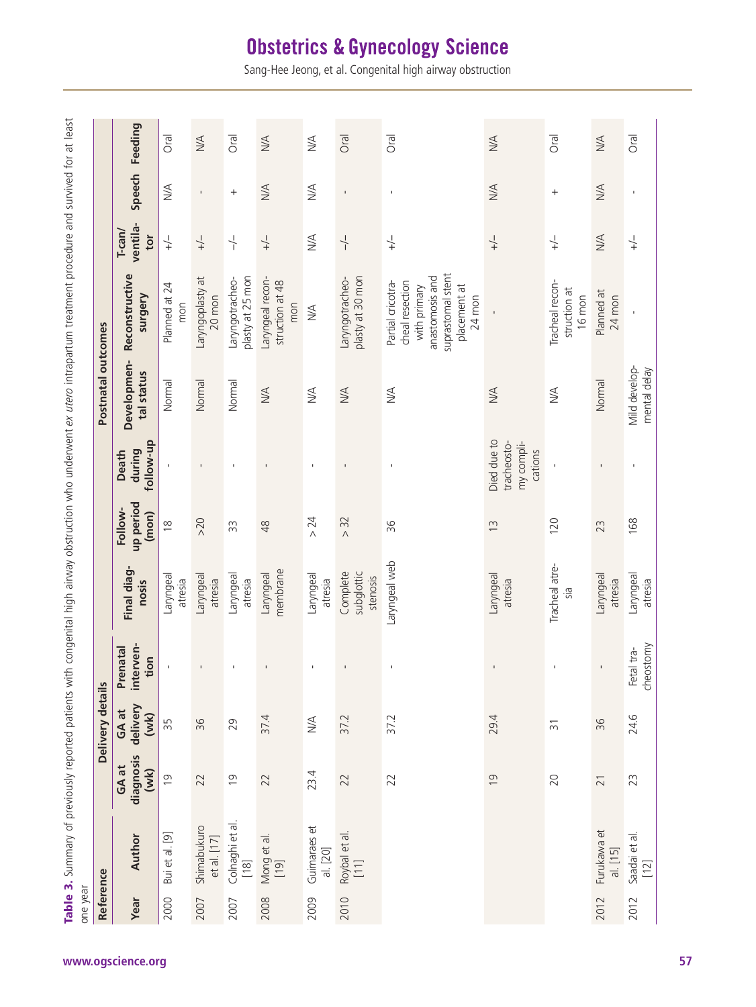| Reference |                                            |                            | Delivery details          |                                             |                                    |                               |                                                     | Postnatal outcomes            |                                                                                                                          |                                 |                |                                   |
|-----------|--------------------------------------------|----------------------------|---------------------------|---------------------------------------------|------------------------------------|-------------------------------|-----------------------------------------------------|-------------------------------|--------------------------------------------------------------------------------------------------------------------------|---------------------------------|----------------|-----------------------------------|
| Year      | Author                                     | diagnosis<br>GA at<br>(WK) | delivery<br>GA at<br>(wk) | erven-<br>enatal<br>tion<br>$\ddot{a}$<br>친 | Final diag-<br>nosis               | up period<br>Follow-<br>(mon) | follow-up<br>during<br>Death                        | Developmen-<br>tal status     | Reconstructive<br>Surgery                                                                                                | ventila-<br>$T$ -can $/$<br>tor | Speech         | Feeding                           |
| 2000      | $\boxed{9}$<br>Bui et al.                  | $\overline{0}$             | 55                        |                                             | Laryngeal<br>atresia               | $\frac{8}{1}$                 |                                                     | Normal                        | Planned at 24<br>mon                                                                                                     | $\frac{1}{+}$                   | NA             | <b>Oral</b>                       |
| 2007      | Shimabukuro<br>et al. [17]                 | 22                         | 36                        |                                             | leagnyna-<br>atresia               | >20                           | $\mathbf{I}$                                        | Normal                        | Laryngoplasty at<br>20 mon                                                                                               | $\frac{1}{+}$                   | $\mathbf I$    | $\frac{4}{\sqrt{2}}$              |
| 2007      | Colnaghi et al.<br>[18]                    | $\overline{0}$             | 29                        |                                             | Laryngeal<br>atresia               | 33                            | J.                                                  | Normal                        | olasty at 25 mon<br>Laryngotracheo-                                                                                      | $\frac{1}{1}$                   | $^{+}$         | Oral                              |
| 2008      | Mong et al.<br>[19]                        | 22                         | 37.4                      |                                             | membrane<br>Laryngeal              | $\frac{8}{3}$                 | $\mathbf{I}$                                        | $M \triangle$                 | Laryngeal recon-<br>struction at 48<br>mon                                                                               | $+\right\rangle -$              | <b>NA</b>      | $M \triangle$                     |
| 2009      | $\vec{e}$<br>Guimaraes<br>al. [20]         | 23.4                       | NA                        |                                             | Laryngeal<br>atresia               | 24<br>$\wedge$                |                                                     | $\frac{1}{2}$                 | $\leq$                                                                                                                   | <b>N/A</b>                      | $\frac{1}{2}$  | $\frac{1}{2}$                     |
| 2010      | Roybal et al.<br>[11]                      | 22                         | 37.2                      |                                             | Complete<br>subglottic<br>stenosis | > 32                          | $\blacksquare$                                      | $\lesssim$                    | plasty at 30 mon<br>Laryngotracheo-                                                                                      | $\frac{1}{1}$                   | $\mathbf{I}$   | Oral                              |
|           |                                            | 22                         | 37.2                      |                                             | Laryngeal web                      | 96                            |                                                     | MA                            | suprastomal stent<br>anastomosis and<br>cheal resection<br>Partial cricotra-<br>placement at<br>with primary<br>$24$ mon | $\downarrow$                    | $\blacksquare$ | Oral                              |
|           |                                            | $\overline{0}$             | 29.4                      |                                             | Laryngeal<br>atresia               | $\widetilde{\Xi}$             | Died due to<br>tracheosto-<br>my compli-<br>cations | <b>NA</b>                     |                                                                                                                          | $\downarrow$                    | MA             | $M \triangle$                     |
|           |                                            | 20                         | $\overline{5}$            |                                             | Tracheal atre-<br>БİС.             | 120                           |                                                     | $\leq$                        | Tracheal recon-<br>struction at<br>16 mon                                                                                | $\frac{1}{+}$                   | $^{+}$         | Oral                              |
| 2012      | Furukawa et<br>al. [15]                    | $\overline{21}$            | 96                        | $\mathbf{I}$                                | Laryngeal<br>atresia               | 23                            | $\mathbf{I}$                                        | Normal                        | Planned at<br>$24$ mon                                                                                                   | $\lesssim$                      | $M \triangle$  | $\frac{\triangleleft}{\triangle}$ |
| 2012      | $\overline{\sigma}$<br>Saadai et a<br>[12] | 23                         | 24.6                      | cheostomy<br>Fetal tra-                     | Laryngeal<br>atresia               | 168                           | $\mathbf{I}$                                        | Mild develop-<br>mental delay |                                                                                                                          | $\downarrow$                    | $\blacksquare$ | <b>Oral</b>                       |

# **Obstetrics & Gynecology Science**

Sang-Hee Jeong, et al. Congenital high airway obstruction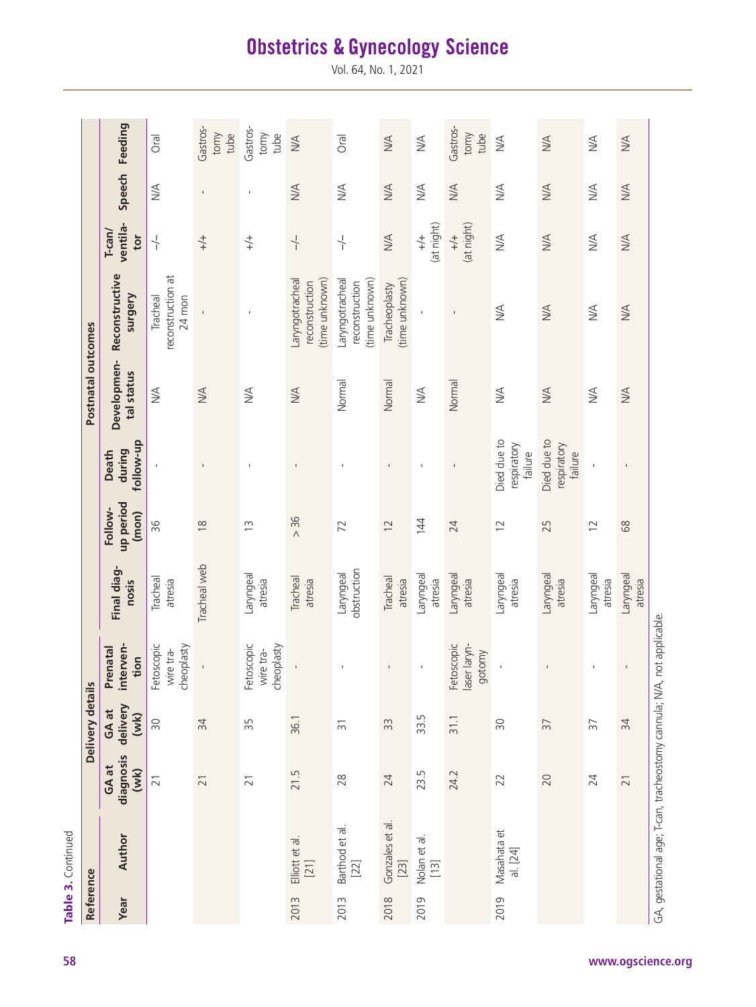| ļ           |  |
|-------------|--|
| 5<br>3<br>5 |  |
| :+<br>ì     |  |
| i<br>ſ      |  |
|             |  |
|             |  |

| Reference |                                                                        |                            | Delivery detai            | $\frac{2}{11}$                        |                          |                               |                                       | Postnatal outcomes                |                                                     |                                 |                |                          |
|-----------|------------------------------------------------------------------------|----------------------------|---------------------------|---------------------------------------|--------------------------|-------------------------------|---------------------------------------|-----------------------------------|-----------------------------------------------------|---------------------------------|----------------|--------------------------|
| Year      | Author                                                                 | diagnosis<br>GA at<br>(wk) | GA at<br>delivery<br>(wk) | interven-<br>Prenatal<br>tion         | Final diag-<br>nosis     | up period<br>Follow-<br>(mon) | follow-up<br>during<br>Death          | Developmen-<br>tal status         | Reconstructive<br>surgery                           | ventila-<br>$T$ -can/<br>tor    | Speech         | Feeding                  |
|           |                                                                        | $\overline{21}$            | $\approx$                 | Fetoscopic<br>cheoplasty<br>wire tra- | Tracheal<br>atresia      | 96                            |                                       | $\frac{1}{2}$                     | reconstruction at<br>Tracheal<br>24 mon             | $\frac{1}{1}$                   | $\frac{4}{2}$  | Oral                     |
|           |                                                                        | $\overline{21}$            | $\approx$                 |                                       | Tracheal web             | $\approx$                     |                                       | $\frac{\triangleleft}{\triangle}$ |                                                     | $+\rightarrow +$                | $\overline{1}$ | Gastros-<br>tomy<br>tube |
|           |                                                                        | $\overline{21}$            | 55                        | Fetoscopic<br>cheoplasty<br>wire tra- | Laryngeal<br>atresia     | $\tilde{c}$                   | $\mathbf{I}$                          | NA                                | $\mathbf I$                                         | $+/-$                           | $\mathbf{I}$   | Gastros-<br>tomy<br>tube |
| 2013      | Elliott et al.<br>[21]                                                 | 21.5                       | 36.1                      |                                       | Tracheal<br>atresia      | > 36                          | $\mathbf{I}$                          | $M \triangle$                     | (time unknown)<br>aryngotracheal<br>reconstruction  | $\frac{1}{1}$                   | <b>NA</b>      | $M \triangle$            |
| 2013      | Barthod et al.<br>[22]                                                 | 28                         | $\overline{5}$            |                                       | obstruction<br>Laryngeal | 72                            | J.                                    | Normal                            | (time unknown)<br>Laryngotracheal<br>reconstruction | $\frac{1}{1}$                   | $\frac{1}{2}$  | Oral                     |
| 2018      | Gonzales et al.<br>[23]                                                | 24                         | 33                        | $\blacksquare$                        | Tracheal<br>atresia      | $\overline{2}$                | $\mathbf{I}$                          | Normal                            | (time unknown)<br>Tracheoplasty                     | <b>N/A</b>                      | <b>NA</b>      | $\leq$                   |
| 2019      | Nolan et al.<br>[13]                                                   | 23.5                       | 33.5                      | $\mathbf{I}$                          | Laryngeal<br>atresia     | 144                           |                                       | $\frac{1}{2}$                     |                                                     | (at night)<br>$\stackrel{+}{+}$ | NA             | NA                       |
|           |                                                                        | 24.2                       | 31.1                      | Fetoscopic<br>laser laryn-<br>gotomy  | Laryngeal<br>atresia     | 24                            |                                       | Normal                            | $\blacksquare$                                      | (at night)<br>$\stackrel{+}{+}$ | $M \triangle$  | Gastros-<br>tomy<br>tube |
| 2019      | Masahata et<br>al. [24]                                                | 22                         | $\approx$                 |                                       | Laryngeal<br>atresia     | $\overline{2}$                | Died due to<br>respiratory<br>failure | $\frac{4}{2}$                     | $\frac{1}{2}$                                       | $\frac{4}{2}$                   | $\frac{1}{2}$  | $\frac{1}{2}$            |
|           |                                                                        | 20                         | $\overline{5}$            |                                       | Laryngeal<br>atresia     | 25                            | Died due to<br>respiratory<br>failure | $M \triangle$                     | <b>N/A</b>                                          | $M \triangle$                   | <b>NA</b>      | $M \triangle$            |
|           |                                                                        | 24                         | $\overline{5}$            | $\mathbf I$                           | Laryngeal<br>atresia     | $\overline{2}$                |                                       | $\frac{1}{2}$                     | $\frac{1}{2}$                                       | $\frac{1}{2}$                   | $\frac{1}{2}$  | $\frac{1}{2}$            |
|           |                                                                        | $\overline{21}$            | 34                        | $\mathbf I$                           | Laryngeal<br>atresia     | 89                            |                                       | $M \triangle$                     | $\leq$                                              | $M \triangle$                   | $\leq$         | <b>NA</b>                |
|           | GA, gestational age; T-can, tracheostomy cannula; N/A, not applicable. |                            |                           |                                       |                          |                               |                                       |                                   |                                                     |                                 |                |                          |

# **Obstetrics & Gynecology Science**

Vol. 64, No. 1, 2021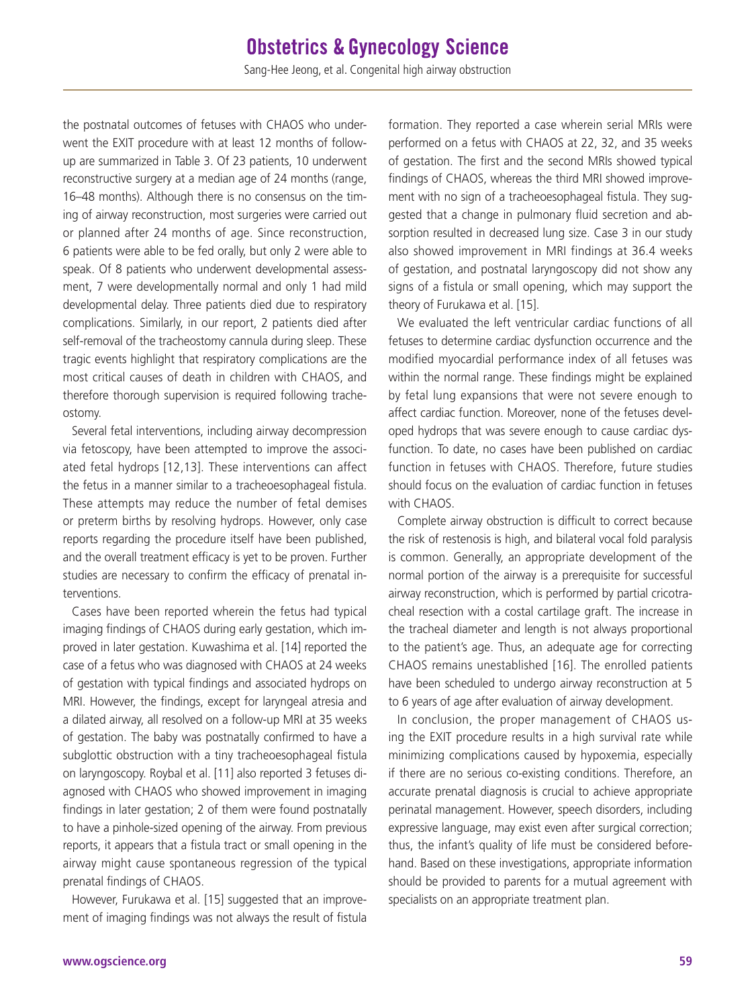the postnatal outcomes of fetuses with CHAOS who underwent the EXIT procedure with at least 12 months of followup are summarized in Table 3. Of 23 patients, 10 underwent reconstructive surgery at a median age of 24 months (range, 16–48 months). Although there is no consensus on the timing of airway reconstruction, most surgeries were carried out or planned after 24 months of age. Since reconstruction, 6 patients were able to be fed orally, but only 2 were able to speak. Of 8 patients who underwent developmental assessment, 7 were developmentally normal and only 1 had mild developmental delay. Three patients died due to respiratory complications. Similarly, in our report, 2 patients died after self-removal of the tracheostomy cannula during sleep. These tragic events highlight that respiratory complications are the most critical causes of death in children with CHAOS, and therefore thorough supervision is required following tracheostomy.

Several fetal interventions, including airway decompression via fetoscopy, have been attempted to improve the associated fetal hydrops [12,13]. These interventions can affect the fetus in a manner similar to a tracheoesophageal fistula. These attempts may reduce the number of fetal demises or preterm births by resolving hydrops. However, only case reports regarding the procedure itself have been published, and the overall treatment efficacy is yet to be proven. Further studies are necessary to confirm the efficacy of prenatal interventions.

Cases have been reported wherein the fetus had typical imaging findings of CHAOS during early gestation, which improved in later gestation. Kuwashima et al. [14] reported the case of a fetus who was diagnosed with CHAOS at 24 weeks of gestation with typical findings and associated hydrops on MRI. However, the findings, except for laryngeal atresia and a dilated airway, all resolved on a follow-up MRI at 35 weeks of gestation. The baby was postnatally confirmed to have a subglottic obstruction with a tiny tracheoesophageal fistula on laryngoscopy. Roybal et al. [11] also reported 3 fetuses diagnosed with CHAOS who showed improvement in imaging findings in later gestation; 2 of them were found postnatally to have a pinhole-sized opening of the airway. From previous reports, it appears that a fistula tract or small opening in the airway might cause spontaneous regression of the typical prenatal findings of CHAOS.

However, Furukawa et al. [15] suggested that an improvement of imaging findings was not always the result of fistula formation. They reported a case wherein serial MRIs were performed on a fetus with CHAOS at 22, 32, and 35 weeks of gestation. The first and the second MRIs showed typical findings of CHAOS, whereas the third MRI showed improvement with no sign of a tracheoesophageal fistula. They suggested that a change in pulmonary fluid secretion and absorption resulted in decreased lung size. Case 3 in our study also showed improvement in MRI findings at 36.4 weeks of gestation, and postnatal laryngoscopy did not show any signs of a fistula or small opening, which may support the theory of Furukawa et al. [15].

We evaluated the left ventricular cardiac functions of all fetuses to determine cardiac dysfunction occurrence and the modified myocardial performance index of all fetuses was within the normal range. These findings might be explained by fetal lung expansions that were not severe enough to affect cardiac function. Moreover, none of the fetuses developed hydrops that was severe enough to cause cardiac dysfunction. To date, no cases have been published on cardiac function in fetuses with CHAOS. Therefore, future studies should focus on the evaluation of cardiac function in fetuses with CHAOS.

Complete airway obstruction is difficult to correct because the risk of restenosis is high, and bilateral vocal fold paralysis is common. Generally, an appropriate development of the normal portion of the airway is a prerequisite for successful airway reconstruction, which is performed by partial cricotracheal resection with a costal cartilage graft. The increase in the tracheal diameter and length is not always proportional to the patient's age. Thus, an adequate age for correcting CHAOS remains unestablished [16]. The enrolled patients have been scheduled to undergo airway reconstruction at 5 to 6 years of age after evaluation of airway development.

In conclusion, the proper management of CHAOS using the EXIT procedure results in a high survival rate while minimizing complications caused by hypoxemia, especially if there are no serious co-existing conditions. Therefore, an accurate prenatal diagnosis is crucial to achieve appropriate perinatal management. However, speech disorders, including expressive language, may exist even after surgical correction; thus, the infant's quality of life must be considered beforehand. Based on these investigations, appropriate information should be provided to parents for a mutual agreement with specialists on an appropriate treatment plan.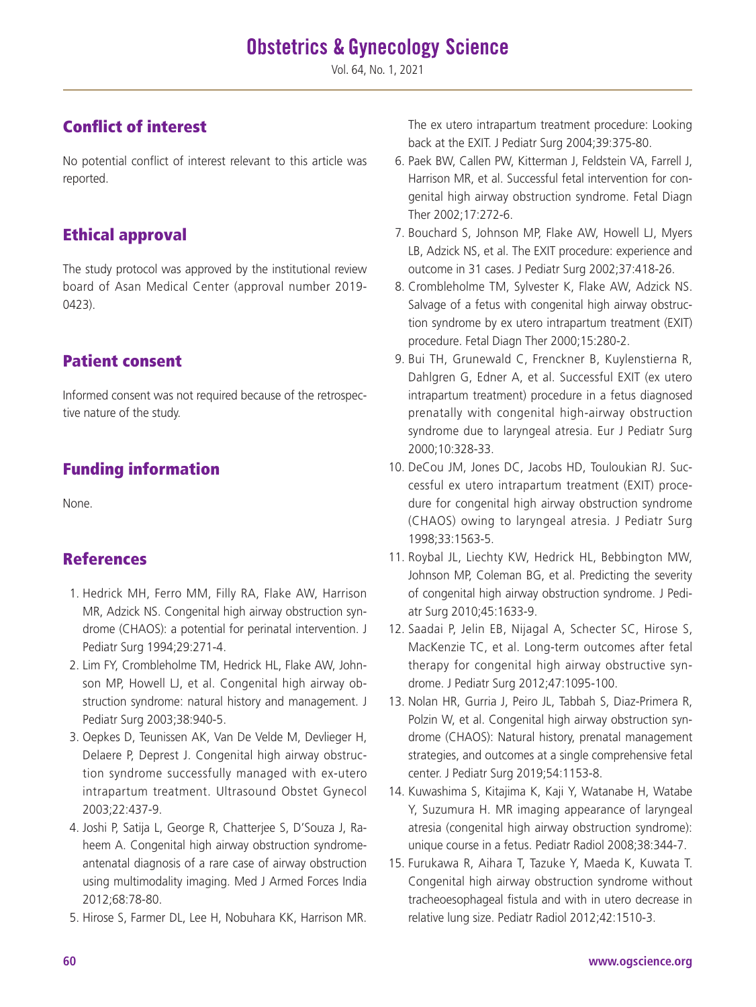Vol. 64, No. 1, 2021

# Conflict of interest

No potential conflict of interest relevant to this article was reported.

# Ethical approval

The study protocol was approved by the institutional review board of Asan Medical Center (approval number 2019- 0423).

# Patient consent

Informed consent was not required because of the retrospective nature of the study.

# Funding information

None.

# References

- 1. Hedrick MH, Ferro MM, Filly RA, Flake AW, Harrison MR, Adzick NS. Congenital high airway obstruction syndrome (CHAOS): a potential for perinatal intervention. J Pediatr Surg 1994;29:271-4.
- 2. Lim FY, Crombleholme TM, Hedrick HL, Flake AW, Johnson MP, Howell LJ, et al. Congenital high airway obstruction syndrome: natural history and management. J Pediatr Surg 2003;38:940-5.
- 3. Oepkes D, Teunissen AK, Van De Velde M, Devlieger H, Delaere P, Deprest J. Congenital high airway obstruction syndrome successfully managed with ex-utero intrapartum treatment. Ultrasound Obstet Gynecol 2003;22:437-9.
- 4. Joshi P, Satija L, George R, Chatterjee S, D'Souza J, Raheem A. Congenital high airway obstruction syndromeantenatal diagnosis of a rare case of airway obstruction using multimodality imaging. Med J Armed Forces India 2012;68:78-80.
- 5. Hirose S, Farmer DL, Lee H, Nobuhara KK, Harrison MR.

The ex utero intrapartum treatment procedure: Looking back at the EXIT. J Pediatr Surg 2004;39:375-80.

- 6. Paek BW, Callen PW, Kitterman J, Feldstein VA, Farrell J, Harrison MR, et al. Successful fetal intervention for congenital high airway obstruction syndrome. Fetal Diagn Ther 2002;17:272-6.
- 7. Bouchard S, Johnson MP, Flake AW, Howell LJ, Myers LB, Adzick NS, et al. The EXIT procedure: experience and outcome in 31 cases. J Pediatr Surg 2002;37:418-26.
- 8. Crombleholme TM, Sylvester K, Flake AW, Adzick NS. Salvage of a fetus with congenital high airway obstruction syndrome by ex utero intrapartum treatment (EXIT) procedure. Fetal Diagn Ther 2000;15:280-2.
- 9. Bui TH, Grunewald C, Frenckner B, Kuylenstierna R, Dahlgren G, Edner A, et al. Successful EXIT (ex utero intrapartum treatment) procedure in a fetus diagnosed prenatally with congenital high-airway obstruction syndrome due to laryngeal atresia. Eur J Pediatr Surg 2000;10:328-33.
- 10. DeCou JM, Jones DC, Jacobs HD, Touloukian RJ. Successful ex utero intrapartum treatment (EXIT) procedure for congenital high airway obstruction syndrome (CHAOS) owing to laryngeal atresia. J Pediatr Surg 1998;33:1563-5.
- 11. Roybal JL, Liechty KW, Hedrick HL, Bebbington MW, Johnson MP, Coleman BG, et al. Predicting the severity of congenital high airway obstruction syndrome. J Pediatr Surg 2010;45:1633-9.
- 12. Saadai P, Jelin EB, Nijagal A, Schecter SC, Hirose S, MacKenzie TC, et al. Long-term outcomes after fetal therapy for congenital high airway obstructive syndrome. J Pediatr Surg 2012;47:1095-100.
- 13. Nolan HR, Gurria J, Peiro JL, Tabbah S, Diaz-Primera R, Polzin W, et al. Congenital high airway obstruction syndrome (CHAOS): Natural history, prenatal management strategies, and outcomes at a single comprehensive fetal center. J Pediatr Surg 2019;54:1153-8.
- 14. Kuwashima S, Kitajima K, Kaji Y, Watanabe H, Watabe Y, Suzumura H. MR imaging appearance of laryngeal atresia (congenital high airway obstruction syndrome): unique course in a fetus. Pediatr Radiol 2008;38:344-7.
- 15. Furukawa R, Aihara T, Tazuke Y, Maeda K, Kuwata T. Congenital high airway obstruction syndrome without tracheoesophageal fistula and with in utero decrease in relative lung size. Pediatr Radiol 2012;42:1510-3.